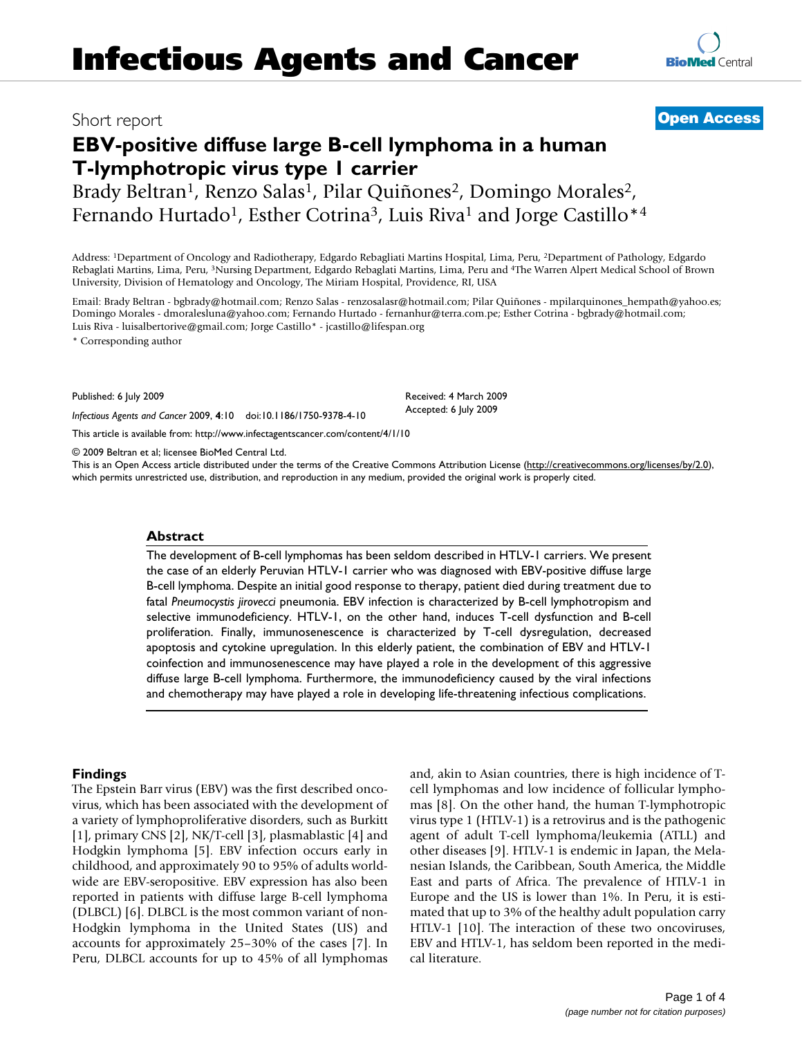# **EBV-positive diffuse large B-cell lymphoma in a human T-lymphotropic virus type 1 carrier**

Brady Beltran<sup>1</sup>, Renzo Salas<sup>1</sup>, Pilar Quiñones<sup>2</sup>, Domingo Morales<sup>2</sup>, Fernando Hurtado<sup>1</sup>, Esther Cotrina<sup>3</sup>, Luis Riva<sup>1</sup> and Jorge Castillo<sup>\*4</sup>

Address: 1Department of Oncology and Radiotherapy, Edgardo Rebagliati Martins Hospital, Lima, Peru, 2Department of Pathology, Edgardo Rebaglati Martins, Lima, Peru, 3Nursing Department, Edgardo Rebaglati Martins, Lima, Peru and 4The Warren Alpert Medical School of Brown University, Division of Hematology and Oncology, The Miriam Hospital, Providence, RI, USA

Email: Brady Beltran - bgbrady@hotmail.com; Renzo Salas - renzosalasr@hotmail.com; Pilar Quiñones - mpilarquinones\_hempath@yahoo.es; Domingo Morales - dmoralesluna@yahoo.com; Fernando Hurtado - fernanhur@terra.com.pe; Esther Cotrina - bgbrady@hotmail.com; Luis Riva - luisalbertorive@gmail.com; Jorge Castillo\* - jcastillo@lifespan.org

> Received: 4 March 2009 Accepted: 6 July 2009

\* Corresponding author

Published: 6 July 2009

*Infectious Agents and Cancer* 2009, **4**:10 doi:10.1186/1750-9378-4-10

[This article is available from: http://www.infectagentscancer.com/content/4/1/10](http://www.infectagentscancer.com/content/4/1/10)

© 2009 Beltran et al; licensee BioMed Central Ltd.

This is an Open Access article distributed under the terms of the Creative Commons Attribution License [\(http://creativecommons.org/licenses/by/2.0\)](http://creativecommons.org/licenses/by/2.0), which permits unrestricted use, distribution, and reproduction in any medium, provided the original work is properly cited.

### **Abstract**

The development of B-cell lymphomas has been seldom described in HTLV-1 carriers. We present the case of an elderly Peruvian HTLV-1 carrier who was diagnosed with EBV-positive diffuse large B-cell lymphoma. Despite an initial good response to therapy, patient died during treatment due to fatal *Pneumocystis jirovecci* pneumonia. EBV infection is characterized by B-cell lymphotropism and selective immunodeficiency. HTLV-1, on the other hand, induces T-cell dysfunction and B-cell proliferation. Finally, immunosenescence is characterized by T-cell dysregulation, decreased apoptosis and cytokine upregulation. In this elderly patient, the combination of EBV and HTLV-1 coinfection and immunosenescence may have played a role in the development of this aggressive diffuse large B-cell lymphoma. Furthermore, the immunodeficiency caused by the viral infections and chemotherapy may have played a role in developing life-threatening infectious complications.

### **Findings**

The Epstein Barr virus (EBV) was the first described oncovirus, which has been associated with the development of a variety of lymphoproliferative disorders, such as Burkitt [1], primary CNS [2], NK/T-cell [3], plasmablastic [4] and Hodgkin lymphoma [5]. EBV infection occurs early in childhood, and approximately 90 to 95% of adults worldwide are EBV-seropositive. EBV expression has also been reported in patients with diffuse large B-cell lymphoma (DLBCL) [6]. DLBCL is the most common variant of non-Hodgkin lymphoma in the United States (US) and accounts for approximately 25–30% of the cases [7]. In Peru, DLBCL accounts for up to 45% of all lymphomas and, akin to Asian countries, there is high incidence of Tcell lymphomas and low incidence of follicular lymphomas [8]. On the other hand, the human T-lymphotropic virus type 1 (HTLV-1) is a retrovirus and is the pathogenic agent of adult T-cell lymphoma/leukemia (ATLL) and other diseases [9]. HTLV-1 is endemic in Japan, the Melanesian Islands, the Caribbean, South America, the Middle East and parts of Africa. The prevalence of HTLV-1 in Europe and the US is lower than 1%. In Peru, it is estimated that up to 3% of the healthy adult population carry HTLV-1 [10]. The interaction of these two oncoviruses, EBV and HTLV-1, has seldom been reported in the medical literature.

## Short report **[Open Access](http://www.biomedcentral.com/info/about/charter/)**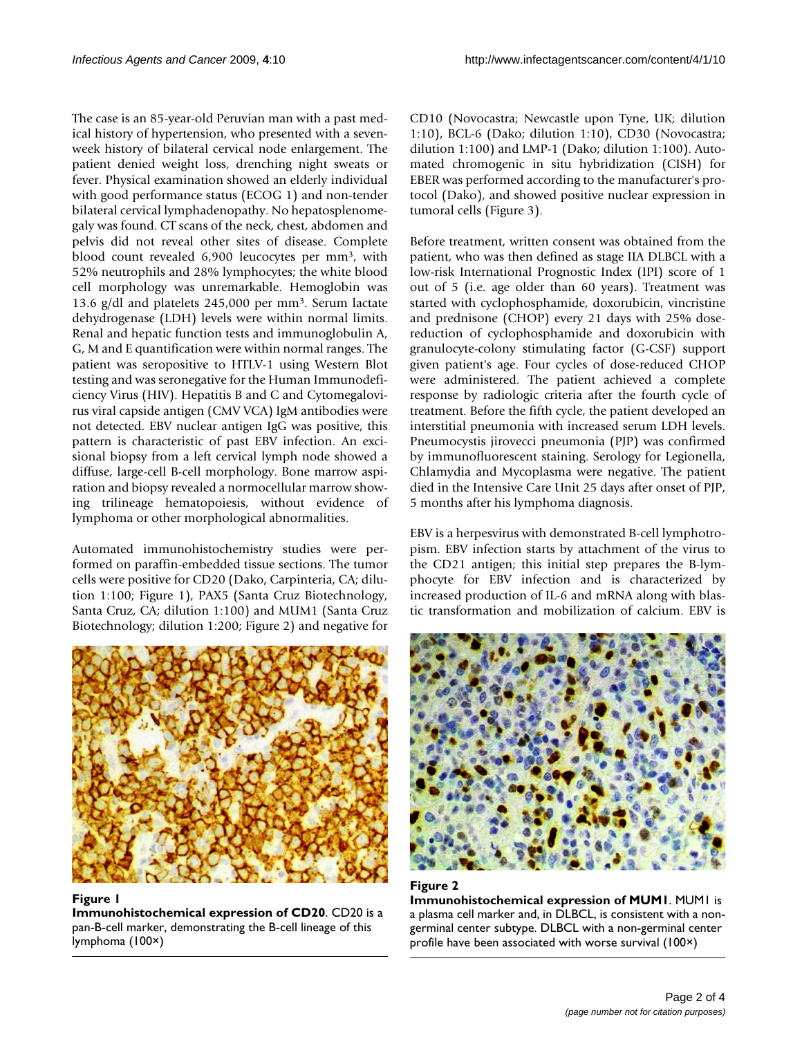The case is an 85-year-old Peruvian man with a past medical history of hypertension, who presented with a sevenweek history of bilateral cervical node enlargement. The patient denied weight loss, drenching night sweats or fever. Physical examination showed an elderly individual with good performance status (ECOG 1) and non-tender bilateral cervical lymphadenopathy. No hepatosplenomegaly was found. CT scans of the neck, chest, abdomen and pelvis did not reveal other sites of disease. Complete blood count revealed 6,900 leucocytes per mm3, with 52% neutrophils and 28% lymphocytes; the white blood cell morphology was unremarkable. Hemoglobin was 13.6 g/dl and platelets 245,000 per mm3. Serum lactate dehydrogenase (LDH) levels were within normal limits. Renal and hepatic function tests and immunoglobulin A, G, M and E quantification were within normal ranges. The patient was seropositive to HTLV-1 using Western Blot testing and was seronegative for the Human Immunodeficiency Virus (HIV). Hepatitis B and C and Cytomegalovirus viral capside antigen (CMV VCA) IgM antibodies were not detected. EBV nuclear antigen IgG was positive, this pattern is characteristic of past EBV infection. An excisional biopsy from a left cervical lymph node showed a diffuse, large-cell B-cell morphology. Bone marrow aspiration and biopsy revealed a normocellular marrow showing trilineage hematopoiesis, without evidence of lymphoma or other morphological abnormalities.

Automated immunohistochemistry studies were performed on paraffin-embedded tissue sections. The tumor cells were positive for CD20 (Dako, Carpinteria, CA; dilution 1:100; Figure 1), PAX5 (Santa Cruz Biotechnology, Santa Cruz, CA; dilution 1:100) and MUM1 (Santa Cruz Biotechnology; dilution 1:200; Figure 2) and negative for



**Figure 1 Immunohistochemical expression of CD20**. CD20 is a pan-B-cell marker, demonstrating the B-cell lineage of this lymphoma (100×)

CD10 (Novocastra; Newcastle upon Tyne, UK; dilution 1:10), BCL-6 (Dako; dilution 1:10), CD30 (Novocastra; dilution 1:100) and LMP-1 (Dako; dilution 1:100). Automated chromogenic in situ hybridization (CISH) for EBER was performed according to the manufacturer's protocol (Dako), and showed positive nuclear expression in tumoral cells (Figure 3).

Before treatment, written consent was obtained from the patient, who was then defined as stage IIA DLBCL with a low-risk International Prognostic Index (IPI) score of 1 out of 5 (i.e. age older than 60 years). Treatment was started with cyclophosphamide, doxorubicin, vincristine and prednisone (CHOP) every 21 days with 25% dosereduction of cyclophosphamide and doxorubicin with granulocyte-colony stimulating factor (G-CSF) support given patient's age. Four cycles of dose-reduced CHOP were administered. The patient achieved a complete response by radiologic criteria after the fourth cycle of treatment. Before the fifth cycle, the patient developed an interstitial pneumonia with increased serum LDH levels. Pneumocystis jirovecci pneumonia (PJP) was confirmed by immunofluorescent staining. Serology for Legionella, Chlamydia and Mycoplasma were negative. The patient died in the Intensive Care Unit 25 days after onset of PJP, 5 months after his lymphoma diagnosis.

EBV is a herpesvirus with demonstrated B-cell lymphotropism. EBV infection starts by attachment of the virus to the CD21 antigen; this initial step prepares the B-lymphocyte for EBV infection and is characterized by increased production of IL-6 and mRNA along with blastic transformation and mobilization of calcium. EBV is



### **Figure 2**

**Immunohistochemical expression of MUM1**. MUM1 is a plasma cell marker and, in DLBCL, is consistent with a nongerminal center subtype. DLBCL with a non-germinal center profile have been associated with worse survival (100×)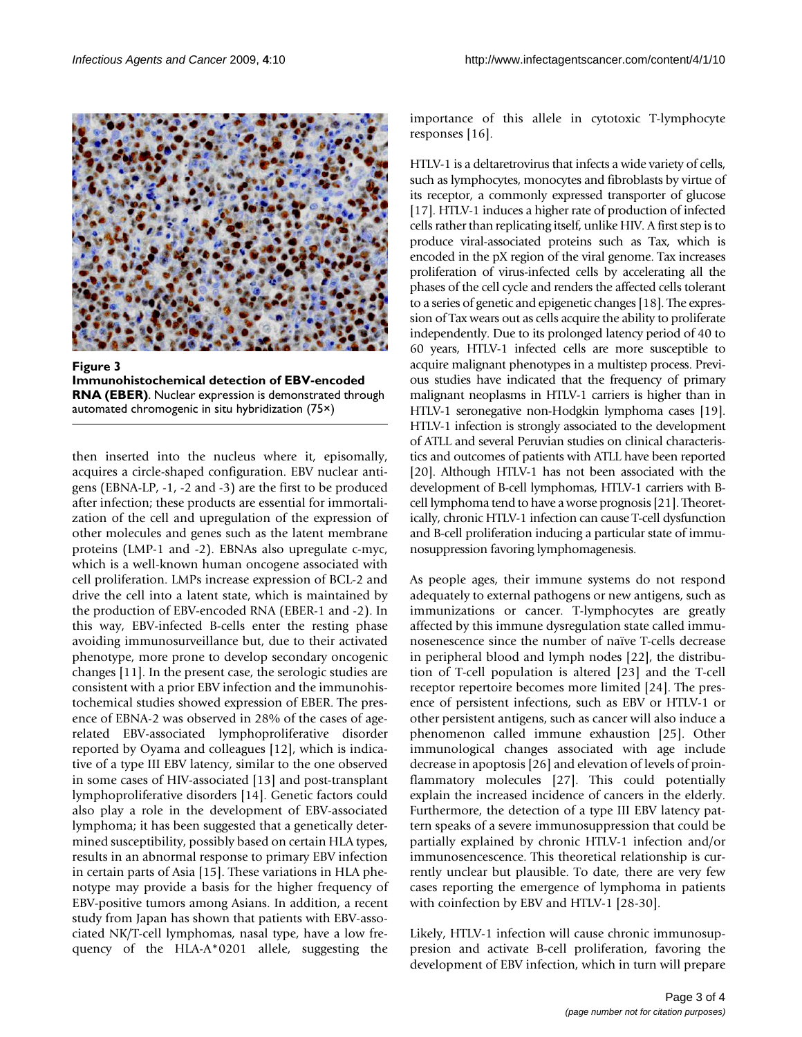

Figure 3 **Immunohistochemical detection of EBV-encoded RNA (EBER)**. Nuclear expression is demonstrated through automated chromogenic in situ hybridization (75×)

then inserted into the nucleus where it, episomally, acquires a circle-shaped configuration. EBV nuclear antigens (EBNA-LP, -1, -2 and -3) are the first to be produced after infection; these products are essential for immortalization of the cell and upregulation of the expression of other molecules and genes such as the latent membrane proteins (LMP-1 and -2). EBNAs also upregulate c-myc, which is a well-known human oncogene associated with cell proliferation. LMPs increase expression of BCL-2 and drive the cell into a latent state, which is maintained by the production of EBV-encoded RNA (EBER-1 and -2). In this way, EBV-infected B-cells enter the resting phase avoiding immunosurveillance but, due to their activated phenotype, more prone to develop secondary oncogenic changes [11]. In the present case, the serologic studies are consistent with a prior EBV infection and the immunohistochemical studies showed expression of EBER. The presence of EBNA-2 was observed in 28% of the cases of agerelated EBV-associated lymphoproliferative disorder reported by Oyama and colleagues [12], which is indicative of a type III EBV latency, similar to the one observed in some cases of HIV-associated [13] and post-transplant lymphoproliferative disorders [14]. Genetic factors could also play a role in the development of EBV-associated lymphoma; it has been suggested that a genetically determined susceptibility, possibly based on certain HLA types, results in an abnormal response to primary EBV infection in certain parts of Asia [15]. These variations in HLA phenotype may provide a basis for the higher frequency of EBV-positive tumors among Asians. In addition, a recent study from Japan has shown that patients with EBV-associated NK/T-cell lymphomas, nasal type, have a low frequency of the HLA-A\*0201 allele, suggesting the importance of this allele in cytotoxic T-lymphocyte responses [16].

HTLV-1 is a deltaretrovirus that infects a wide variety of cells, such as lymphocytes, monocytes and fibroblasts by virtue of its receptor, a commonly expressed transporter of glucose [17]. HTLV-1 induces a higher rate of production of infected cells rather than replicating itself, unlike HIV. A first step is to produce viral-associated proteins such as Tax, which is encoded in the pX region of the viral genome. Tax increases proliferation of virus-infected cells by accelerating all the phases of the cell cycle and renders the affected cells tolerant to a series of genetic and epigenetic changes [18]. The expression of Tax wears out as cells acquire the ability to proliferate independently. Due to its prolonged latency period of 40 to 60 years, HTLV-1 infected cells are more susceptible to acquire malignant phenotypes in a multistep process. Previous studies have indicated that the frequency of primary malignant neoplasms in HTLV-1 carriers is higher than in HTLV-1 seronegative non-Hodgkin lymphoma cases [19]. HTLV-1 infection is strongly associated to the development of ATLL and several Peruvian studies on clinical characteristics and outcomes of patients with ATLL have been reported [20]. Although HTLV-1 has not been associated with the development of B-cell lymphomas, HTLV-1 carriers with Bcell lymphoma tend to have a worse prognosis [21]. Theoretically, chronic HTLV-1 infection can cause T-cell dysfunction and B-cell proliferation inducing a particular state of immunosuppression favoring lymphomagenesis.

As people ages, their immune systems do not respond adequately to external pathogens or new antigens, such as immunizations or cancer. T-lymphocytes are greatly affected by this immune dysregulation state called immunosenescence since the number of naïve T-cells decrease in peripheral blood and lymph nodes [22], the distribution of T-cell population is altered [23] and the T-cell receptor repertoire becomes more limited [24]. The presence of persistent infections, such as EBV or HTLV-1 or other persistent antigens, such as cancer will also induce a phenomenon called immune exhaustion [25]. Other immunological changes associated with age include decrease in apoptosis [26] and elevation of levels of proinflammatory molecules [27]. This could potentially explain the increased incidence of cancers in the elderly. Furthermore, the detection of a type III EBV latency pattern speaks of a severe immunosuppression that could be partially explained by chronic HTLV-1 infection and/or immunosencescence. This theoretical relationship is currently unclear but plausible. To date, there are very few cases reporting the emergence of lymphoma in patients with coinfection by EBV and HTLV-1 [28-30].

Likely, HTLV-1 infection will cause chronic immunosuppresion and activate B-cell proliferation, favoring the development of EBV infection, which in turn will prepare